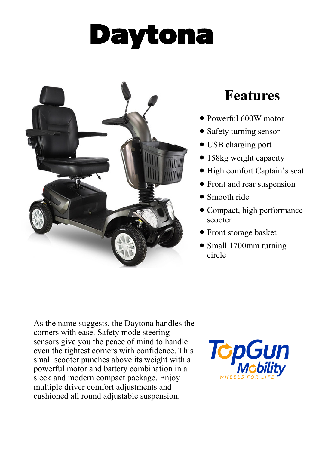## Daytona



## **Features**

- Powerful 600W motor
- Safety turning sensor
- USB charging port
- 158kg weight capacity
- High comfort Captain's seat
- Front and rear suspension
- Smooth ride
- Compact, high performance scooter
- Front storage basket
- Small 1700mm turning circle

As the name suggests, the Daytona handles the corners with ease. Safety mode steering sensors give you the peace of mind to handle even the tightest corners with confidence. This small scooter punches above its weight with a powerful motor and battery combination in a sleek and modern compact package. Enjoy multiple driver comfort adjustments and cushioned all round adjustable suspension.